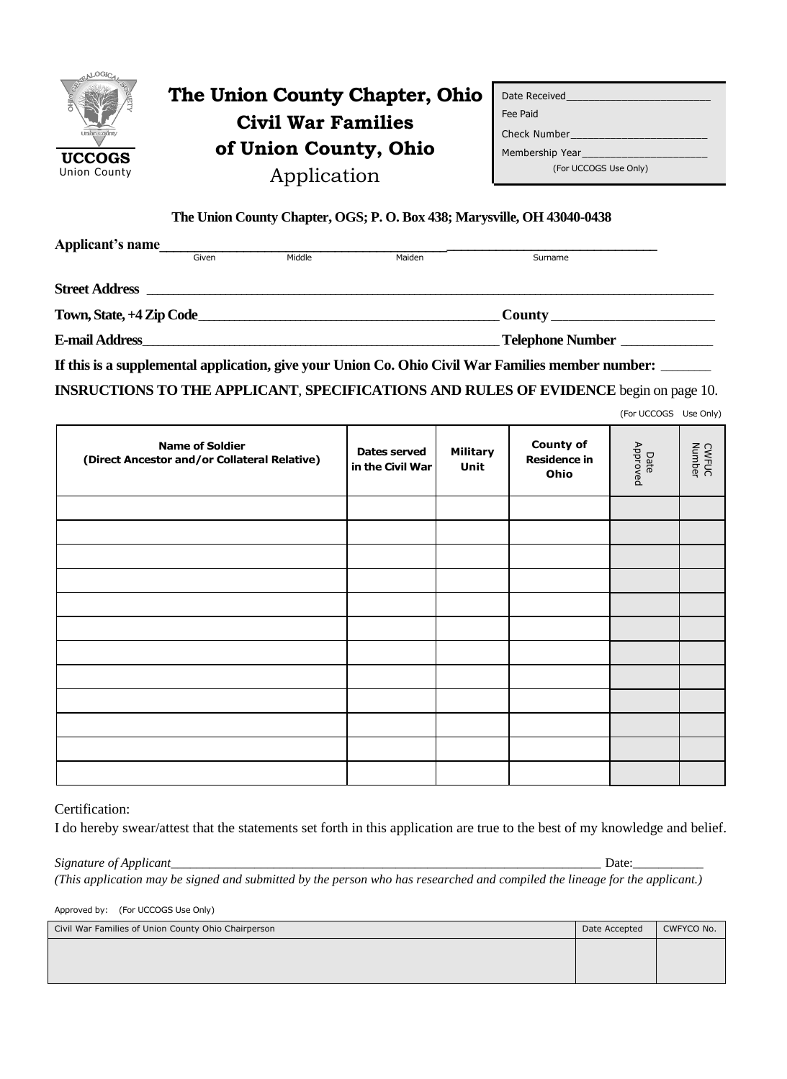

# **The Union County Chapter, Ohio Civil War Families of Union County, Ohio** Application

| Date Received                      |
|------------------------------------|
| Fee Paid                           |
| Check Number                       |
| Membership Year and the Membership |
| (For UCCOGS Use Only)              |

(For UCCOGS Use Only)

### **The Union County Chapter, OGS; P. O. Box 438; Marysville, OH 43040-0438**

| Applicant's name                          |       |        |        |                                                                                                   |  |
|-------------------------------------------|-------|--------|--------|---------------------------------------------------------------------------------------------------|--|
|                                           | Given | Middle | Maiden | Surname                                                                                           |  |
| <b>Street Address</b>                     |       |        |        |                                                                                                   |  |
| Town, State, +4 Zip Code_                 |       |        |        | <b>County</b> County                                                                              |  |
| Telephone Number<br><b>E-mail Address</b> |       |        |        |                                                                                                   |  |
|                                           |       |        |        | If this is a supplemental application, give your Union Co. Ohio Civil War Families member number: |  |

**INSRUCTIONS TO THE APPLICANT**, **SPECIFICATIONS AND RULES OF EVIDENCE** begin on page 10.

| <b>Name of Soldier</b><br>(Direct Ancestor and/or Collateral Relative) | <b>Dates served</b><br>in the Civil War | <b>Military</b><br>Unit | <b>County of</b><br><b>Residence in</b><br>Ohio | Date<br>Approved | <b>CWFUC</b><br>Number |
|------------------------------------------------------------------------|-----------------------------------------|-------------------------|-------------------------------------------------|------------------|------------------------|
|                                                                        |                                         |                         |                                                 |                  |                        |
|                                                                        |                                         |                         |                                                 |                  |                        |
|                                                                        |                                         |                         |                                                 |                  |                        |
|                                                                        |                                         |                         |                                                 |                  |                        |
|                                                                        |                                         |                         |                                                 |                  |                        |
|                                                                        |                                         |                         |                                                 |                  |                        |
|                                                                        |                                         |                         |                                                 |                  |                        |
|                                                                        |                                         |                         |                                                 |                  |                        |
|                                                                        |                                         |                         |                                                 |                  |                        |
|                                                                        |                                         |                         |                                                 |                  |                        |
|                                                                        |                                         |                         |                                                 |                  |                        |
|                                                                        |                                         |                         |                                                 |                  |                        |
|                                                                        |                                         |                         |                                                 |                  |                        |

Certification:

I do hereby swear/attest that the statements set forth in this application are true to the best of my knowledge and belief.

*Signature of Applicant\_\_\_\_\_\_\_\_\_\_\_\_\_\_\_\_\_\_\_\_\_\_\_\_\_\_\_\_\_\_\_\_\_\_\_\_\_\_\_\_\_\_\_\_\_\_\_\_\_\_\_\_\_\_\_\_\_\_\_\_\_\_\_\_\_\_\_* Date:\_\_\_\_\_\_\_\_\_\_\_

*(This application may be signed and submitted by the person who has researched and compiled the lineage for the applicant.)* 

Approved by: (For UCCOGS Use Only)

| Civil War Families of Union County Ohio Chairperson | Date Accepted | CWFYCO No. |
|-----------------------------------------------------|---------------|------------|
|                                                     |               |            |
|                                                     |               |            |
|                                                     |               |            |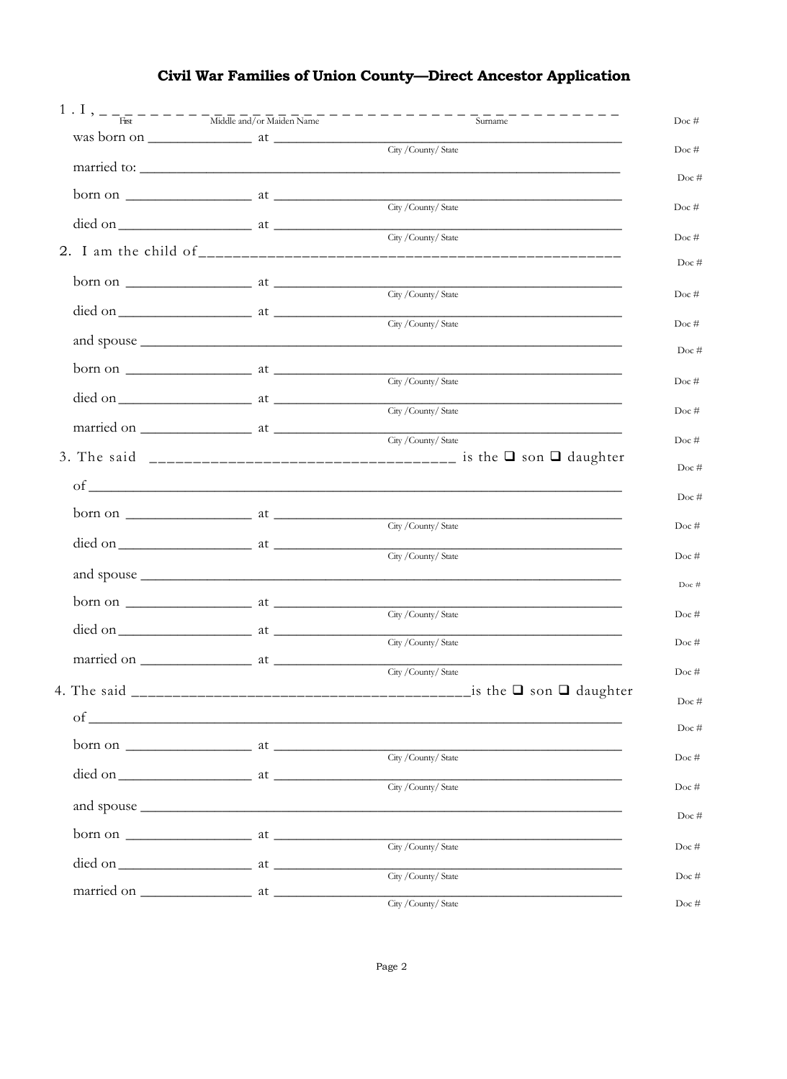## Civil War Families of Union County-Direct Ancestor Application

| Surname                                                                                                                                                                                                                                                                                                                                                                                                                                                                                                                                                                                                                                                                                                                                                                                                                                                                                                                                                                                                                                                                                                                                                                                                                                                                                                                                                                                                                                                                                                                                  |
|------------------------------------------------------------------------------------------------------------------------------------------------------------------------------------------------------------------------------------------------------------------------------------------------------------------------------------------------------------------------------------------------------------------------------------------------------------------------------------------------------------------------------------------------------------------------------------------------------------------------------------------------------------------------------------------------------------------------------------------------------------------------------------------------------------------------------------------------------------------------------------------------------------------------------------------------------------------------------------------------------------------------------------------------------------------------------------------------------------------------------------------------------------------------------------------------------------------------------------------------------------------------------------------------------------------------------------------------------------------------------------------------------------------------------------------------------------------------------------------------------------------------------------------|
| $was born on \_\_\_\_\_$ at $\_\_\_\_\_\_\_\_$<br>City / County/ State                                                                                                                                                                                                                                                                                                                                                                                                                                                                                                                                                                                                                                                                                                                                                                                                                                                                                                                                                                                                                                                                                                                                                                                                                                                                                                                                                                                                                                                                   |
|                                                                                                                                                                                                                                                                                                                                                                                                                                                                                                                                                                                                                                                                                                                                                                                                                                                                                                                                                                                                                                                                                                                                                                                                                                                                                                                                                                                                                                                                                                                                          |
| City / County/ State                                                                                                                                                                                                                                                                                                                                                                                                                                                                                                                                                                                                                                                                                                                                                                                                                                                                                                                                                                                                                                                                                                                                                                                                                                                                                                                                                                                                                                                                                                                     |
| City / County/ State                                                                                                                                                                                                                                                                                                                                                                                                                                                                                                                                                                                                                                                                                                                                                                                                                                                                                                                                                                                                                                                                                                                                                                                                                                                                                                                                                                                                                                                                                                                     |
|                                                                                                                                                                                                                                                                                                                                                                                                                                                                                                                                                                                                                                                                                                                                                                                                                                                                                                                                                                                                                                                                                                                                                                                                                                                                                                                                                                                                                                                                                                                                          |
|                                                                                                                                                                                                                                                                                                                                                                                                                                                                                                                                                                                                                                                                                                                                                                                                                                                                                                                                                                                                                                                                                                                                                                                                                                                                                                                                                                                                                                                                                                                                          |
| City / County/ State                                                                                                                                                                                                                                                                                                                                                                                                                                                                                                                                                                                                                                                                                                                                                                                                                                                                                                                                                                                                                                                                                                                                                                                                                                                                                                                                                                                                                                                                                                                     |
| City / County/ State                                                                                                                                                                                                                                                                                                                                                                                                                                                                                                                                                                                                                                                                                                                                                                                                                                                                                                                                                                                                                                                                                                                                                                                                                                                                                                                                                                                                                                                                                                                     |
|                                                                                                                                                                                                                                                                                                                                                                                                                                                                                                                                                                                                                                                                                                                                                                                                                                                                                                                                                                                                                                                                                                                                                                                                                                                                                                                                                                                                                                                                                                                                          |
| City / County/ State                                                                                                                                                                                                                                                                                                                                                                                                                                                                                                                                                                                                                                                                                                                                                                                                                                                                                                                                                                                                                                                                                                                                                                                                                                                                                                                                                                                                                                                                                                                     |
|                                                                                                                                                                                                                                                                                                                                                                                                                                                                                                                                                                                                                                                                                                                                                                                                                                                                                                                                                                                                                                                                                                                                                                                                                                                                                                                                                                                                                                                                                                                                          |
|                                                                                                                                                                                                                                                                                                                                                                                                                                                                                                                                                                                                                                                                                                                                                                                                                                                                                                                                                                                                                                                                                                                                                                                                                                                                                                                                                                                                                                                                                                                                          |
|                                                                                                                                                                                                                                                                                                                                                                                                                                                                                                                                                                                                                                                                                                                                                                                                                                                                                                                                                                                                                                                                                                                                                                                                                                                                                                                                                                                                                                                                                                                                          |
|                                                                                                                                                                                                                                                                                                                                                                                                                                                                                                                                                                                                                                                                                                                                                                                                                                                                                                                                                                                                                                                                                                                                                                                                                                                                                                                                                                                                                                                                                                                                          |
| City / County/ State                                                                                                                                                                                                                                                                                                                                                                                                                                                                                                                                                                                                                                                                                                                                                                                                                                                                                                                                                                                                                                                                                                                                                                                                                                                                                                                                                                                                                                                                                                                     |
| City / County/ State                                                                                                                                                                                                                                                                                                                                                                                                                                                                                                                                                                                                                                                                                                                                                                                                                                                                                                                                                                                                                                                                                                                                                                                                                                                                                                                                                                                                                                                                                                                     |
|                                                                                                                                                                                                                                                                                                                                                                                                                                                                                                                                                                                                                                                                                                                                                                                                                                                                                                                                                                                                                                                                                                                                                                                                                                                                                                                                                                                                                                                                                                                                          |
| City / County/ State                                                                                                                                                                                                                                                                                                                                                                                                                                                                                                                                                                                                                                                                                                                                                                                                                                                                                                                                                                                                                                                                                                                                                                                                                                                                                                                                                                                                                                                                                                                     |
| City / County/ State                                                                                                                                                                                                                                                                                                                                                                                                                                                                                                                                                                                                                                                                                                                                                                                                                                                                                                                                                                                                                                                                                                                                                                                                                                                                                                                                                                                                                                                                                                                     |
|                                                                                                                                                                                                                                                                                                                                                                                                                                                                                                                                                                                                                                                                                                                                                                                                                                                                                                                                                                                                                                                                                                                                                                                                                                                                                                                                                                                                                                                                                                                                          |
| City / County/ State<br>_is the $□$ son $□$ daughter                                                                                                                                                                                                                                                                                                                                                                                                                                                                                                                                                                                                                                                                                                                                                                                                                                                                                                                                                                                                                                                                                                                                                                                                                                                                                                                                                                                                                                                                                     |
|                                                                                                                                                                                                                                                                                                                                                                                                                                                                                                                                                                                                                                                                                                                                                                                                                                                                                                                                                                                                                                                                                                                                                                                                                                                                                                                                                                                                                                                                                                                                          |
|                                                                                                                                                                                                                                                                                                                                                                                                                                                                                                                                                                                                                                                                                                                                                                                                                                                                                                                                                                                                                                                                                                                                                                                                                                                                                                                                                                                                                                                                                                                                          |
|                                                                                                                                                                                                                                                                                                                                                                                                                                                                                                                                                                                                                                                                                                                                                                                                                                                                                                                                                                                                                                                                                                                                                                                                                                                                                                                                                                                                                                                                                                                                          |
| $\text{died on }$ at $\frac{\text{City} / \text{Country}}{\text{State}}$                                                                                                                                                                                                                                                                                                                                                                                                                                                                                                                                                                                                                                                                                                                                                                                                                                                                                                                                                                                                                                                                                                                                                                                                                                                                                                                                                                                                                                                                 |
| and spouse <u>the contract of the contract of the contract of the contract of the contract of the contract of the contract of the contract of the contract of the contract of the contract of the contract of the contract of th</u>                                                                                                                                                                                                                                                                                                                                                                                                                                                                                                                                                                                                                                                                                                                                                                                                                                                                                                                                                                                                                                                                                                                                                                                                                                                                                                     |
| City / County/ State                                                                                                                                                                                                                                                                                                                                                                                                                                                                                                                                                                                                                                                                                                                                                                                                                                                                                                                                                                                                                                                                                                                                                                                                                                                                                                                                                                                                                                                                                                                     |
| City / County/ State                                                                                                                                                                                                                                                                                                                                                                                                                                                                                                                                                                                                                                                                                                                                                                                                                                                                                                                                                                                                                                                                                                                                                                                                                                                                                                                                                                                                                                                                                                                     |
| City / County/ State                                                                                                                                                                                                                                                                                                                                                                                                                                                                                                                                                                                                                                                                                                                                                                                                                                                                                                                                                                                                                                                                                                                                                                                                                                                                                                                                                                                                                                                                                                                     |
| born on $\frac{1}{\sqrt{1-\frac{1}{2}}\sqrt{1-\frac{1}{2}}\sqrt{1-\frac{1}{2}}\sqrt{1-\frac{1}{2}}\sqrt{1-\frac{1}{2}}\sqrt{1-\frac{1}{2}}\sqrt{1-\frac{1}{2}}\sqrt{1-\frac{1}{2}}\sqrt{1-\frac{1}{2}}\sqrt{1-\frac{1}{2}}\sqrt{1-\frac{1}{2}}\sqrt{1-\frac{1}{2}}\sqrt{1-\frac{1}{2}}\sqrt{1-\frac{1}{2}}\sqrt{1-\frac{1}{2}}\sqrt{1-\frac{1}{2}}\sqrt{1-\frac{1}{2}}\sqrt{1-\frac{1}{2}}\sqrt{1-\frac{1}{$<br>$born on$ $\_\_\_\_\_$ at $\_\_\_\_\_\_\_\_\_$<br>$of$ $\overline{\phantom{a}}$<br>born on $\frac{1}{\sqrt{1-\frac{1}{\sqrt{1-\frac{1}{\sqrt{1-\frac{1}{\sqrt{1-\frac{1}{\sqrt{1-\frac{1}{\sqrt{1-\frac{1}{\sqrt{1-\frac{1}{\sqrt{1-\frac{1}{\sqrt{1-\frac{1}{\sqrt{1-\frac{1}{\sqrt{1-\frac{1}{\sqrt{1-\frac{1}{\sqrt{1-\frac{1}{\sqrt{1-\frac{1}{\sqrt{1-\frac{1}{\sqrt{1-\frac{1}{\sqrt{1-\frac{1}{\sqrt{1-\frac{1}{\sqrt{1-\frac{1}{\sqrt{1-\frac{1}{\sqrt{1-\frac{1}{\sqrt{1-\frac{1}{\sqrt{1-\frac{1}{$<br>born on $\frac{1}{\sqrt{1-\frac{1}{2}}}\$ at $\frac{1}{\sqrt{1-\frac{1}{2}}}\$<br>$\circ$ f $\overline{\phantom{a}}$<br>$\frac{1}{\text{O}}$ at $\frac{1}{\text{City / County/ State}}$<br>born on $\frac{1}{\sqrt{1-\frac{1}{2}}\sqrt{1-\frac{1}{2}}\sqrt{1-\frac{1}{2}}\sqrt{1-\frac{1}{2}}\sqrt{1-\frac{1}{2}}\sqrt{1-\frac{1}{2}}\sqrt{1-\frac{1}{2}}\sqrt{1-\frac{1}{2}}\sqrt{1-\frac{1}{2}}\sqrt{1-\frac{1}{2}}\sqrt{1-\frac{1}{2}}\sqrt{1-\frac{1}{2}}\sqrt{1-\frac{1}{2}}\sqrt{1-\frac{1}{2}}\sqrt{1-\frac{1}{2}}\sqrt{1-\frac{1}{2}}\sqrt{1-\frac{1}{2}}\sqrt{1-\frac{1}{2}}\sqrt{1-\frac{1}{$ |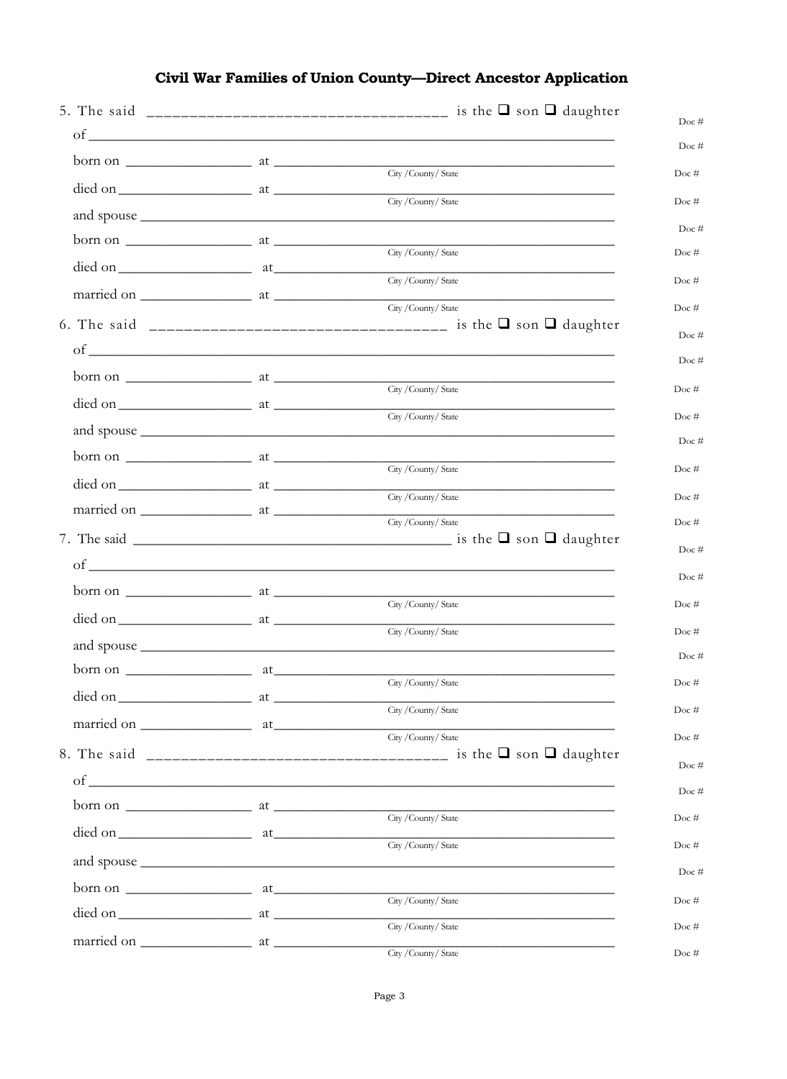#### Doc #  $\circ$  f Doc# City / County/ State  $Doc \#$ died on at the at the same at the same state of the same state of the same state of the same state of the same state of the same state of the same state of the same state of the same state of the same state of the same sta City / County/ State Doc# and spouse  $Doc#$ born on at City / County/ State  $Doc#$ City / County/ State  $Doc \#$ married on at City / County/ State  $Doc \#$ Doc #  $\sigma$ Doc# City / County/ State  $Doc \#$ died on  $\overline{\phantom{a}}$  at  $\overline{\phantom{a}}$ City / County/ State Doc # and spouse  $Doc#$  $born on \_$ City / County/ State  $Doc \#$ City / County/ State Doc # City / County/ State  $Doc#$ 7. The said \_  $\frac{1}{\sqrt{1-\frac{1}{2}}\sqrt{1-\frac{1}{2}}\sqrt{1-\frac{1}{2}}\sqrt{1-\frac{1}{2}}\sqrt{1-\frac{1}{2}}\sqrt{1-\frac{1}{2}}\sqrt{1-\frac{1}{2}}\sqrt{1-\frac{1}{2}}\sqrt{1-\frac{1}{2}}\sqrt{1-\frac{1}{2}}\sqrt{1-\frac{1}{2}}\sqrt{1-\frac{1}{2}}\sqrt{1-\frac{1}{2}}\sqrt{1-\frac{1}{2}}\sqrt{1-\frac{1}{2}}\sqrt{1-\frac{1}{2}}\sqrt{1-\frac{1}{2}}\sqrt{1-\frac{1}{2}}\sqrt{1-\frac{1}{2}}\sqrt{1-\frac$ Doc #  $\circ$  f  $Doc#$ City / County/ State Doc# City / County/ State Doc#  $\Gamma$ oc # City / County/ State  $Doc#$ City / County/ State Doc  $#$ City / County/ State  $Doc \#$  $Doc#$ Doc #  $born on$   $at$ City / County/ State Doc  $#$ died on at City / County/ State  $Doc \#$ Doc  $#$ born on at City / County/ State Doc  $#$ City / County/ State  $Doc$ # City / County/ State Doc #

### **Civil War Families of Union County-Direct Ancestor Application**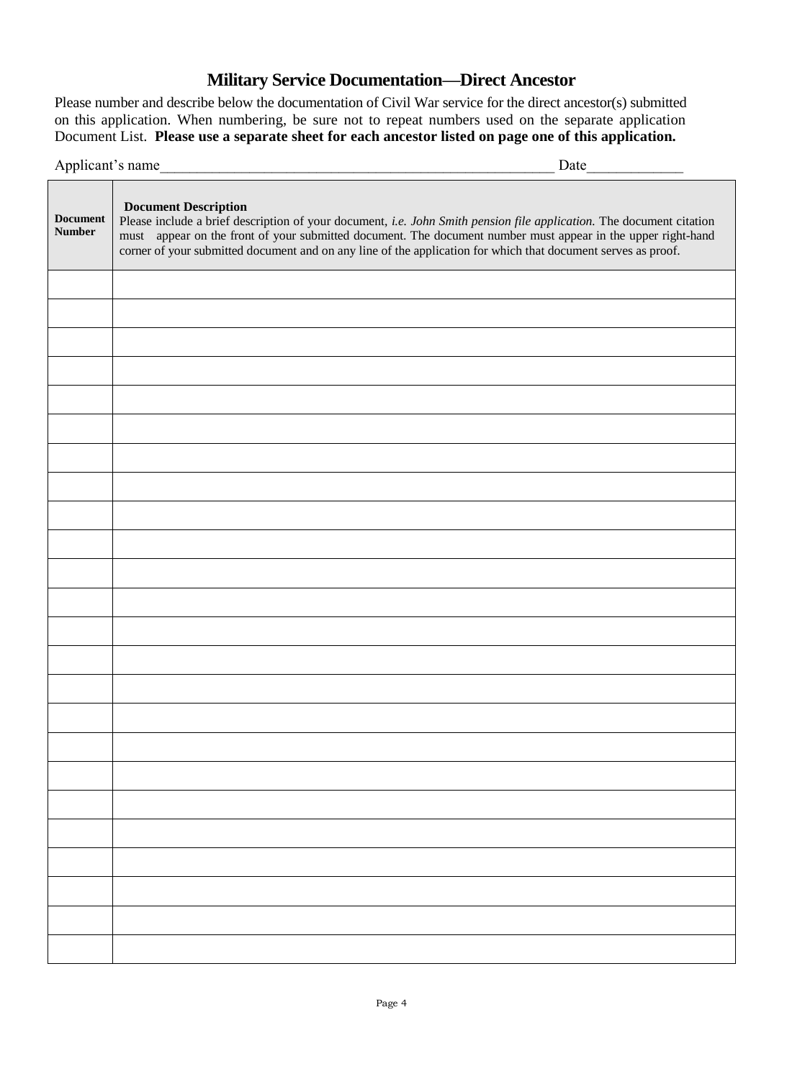## **Military Service Documentation—Direct Ancestor**

Please number and describe below the documentation of Civil War service for the direct ancestor(s) submitted on this application. When numbering, be sure not to repeat numbers used on the separate application Document List. **Please use a separate sheet for each ancestor listed on page one of this application.**

| Applicant's name | Date |
|------------------|------|
|                  |      |

| <b>Document</b><br><b>Number</b> | <b>Document Description</b><br>Please include a brief description of your document, i.e. John Smith pension file application. The document citation<br>must appear on the front of your submitted document. The document number must appear in the upper right-hand<br>corner of your submitted document and on any line of the application for which that document serves as proof. |
|----------------------------------|--------------------------------------------------------------------------------------------------------------------------------------------------------------------------------------------------------------------------------------------------------------------------------------------------------------------------------------------------------------------------------------|
|                                  |                                                                                                                                                                                                                                                                                                                                                                                      |
|                                  |                                                                                                                                                                                                                                                                                                                                                                                      |
|                                  |                                                                                                                                                                                                                                                                                                                                                                                      |
|                                  |                                                                                                                                                                                                                                                                                                                                                                                      |
|                                  |                                                                                                                                                                                                                                                                                                                                                                                      |
|                                  |                                                                                                                                                                                                                                                                                                                                                                                      |
|                                  |                                                                                                                                                                                                                                                                                                                                                                                      |
|                                  |                                                                                                                                                                                                                                                                                                                                                                                      |
|                                  |                                                                                                                                                                                                                                                                                                                                                                                      |
|                                  |                                                                                                                                                                                                                                                                                                                                                                                      |
|                                  |                                                                                                                                                                                                                                                                                                                                                                                      |
|                                  |                                                                                                                                                                                                                                                                                                                                                                                      |
|                                  |                                                                                                                                                                                                                                                                                                                                                                                      |
|                                  |                                                                                                                                                                                                                                                                                                                                                                                      |
|                                  |                                                                                                                                                                                                                                                                                                                                                                                      |
|                                  |                                                                                                                                                                                                                                                                                                                                                                                      |
|                                  |                                                                                                                                                                                                                                                                                                                                                                                      |
|                                  |                                                                                                                                                                                                                                                                                                                                                                                      |
|                                  |                                                                                                                                                                                                                                                                                                                                                                                      |
|                                  |                                                                                                                                                                                                                                                                                                                                                                                      |
|                                  |                                                                                                                                                                                                                                                                                                                                                                                      |
|                                  |                                                                                                                                                                                                                                                                                                                                                                                      |
|                                  |                                                                                                                                                                                                                                                                                                                                                                                      |
|                                  |                                                                                                                                                                                                                                                                                                                                                                                      |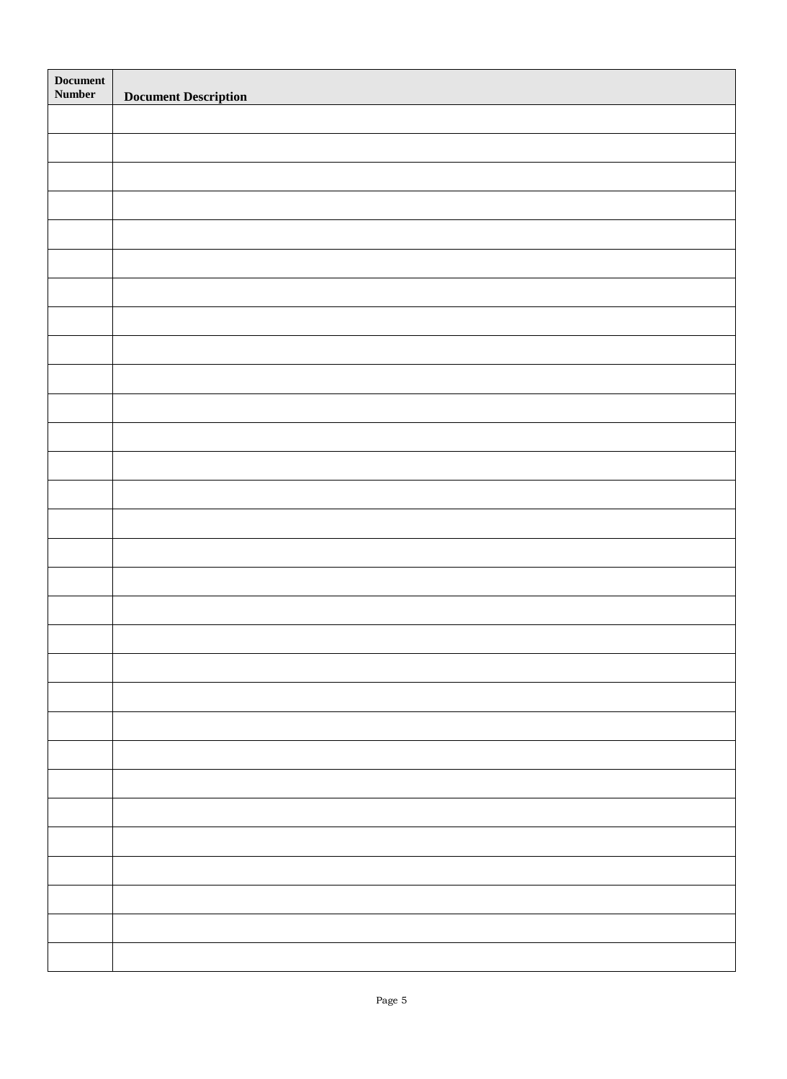| Document<br>Number | <b>Document Description</b> |
|--------------------|-----------------------------|
|                    |                             |
|                    |                             |
|                    |                             |
|                    |                             |
|                    |                             |
|                    |                             |
|                    |                             |
|                    |                             |
|                    |                             |
|                    |                             |
|                    |                             |
|                    |                             |
|                    |                             |
|                    |                             |
|                    |                             |
|                    |                             |
|                    |                             |
|                    |                             |
|                    |                             |
|                    |                             |
|                    |                             |
|                    |                             |
|                    |                             |
|                    |                             |
|                    |                             |
|                    |                             |
|                    |                             |
|                    |                             |
|                    |                             |
|                    |                             |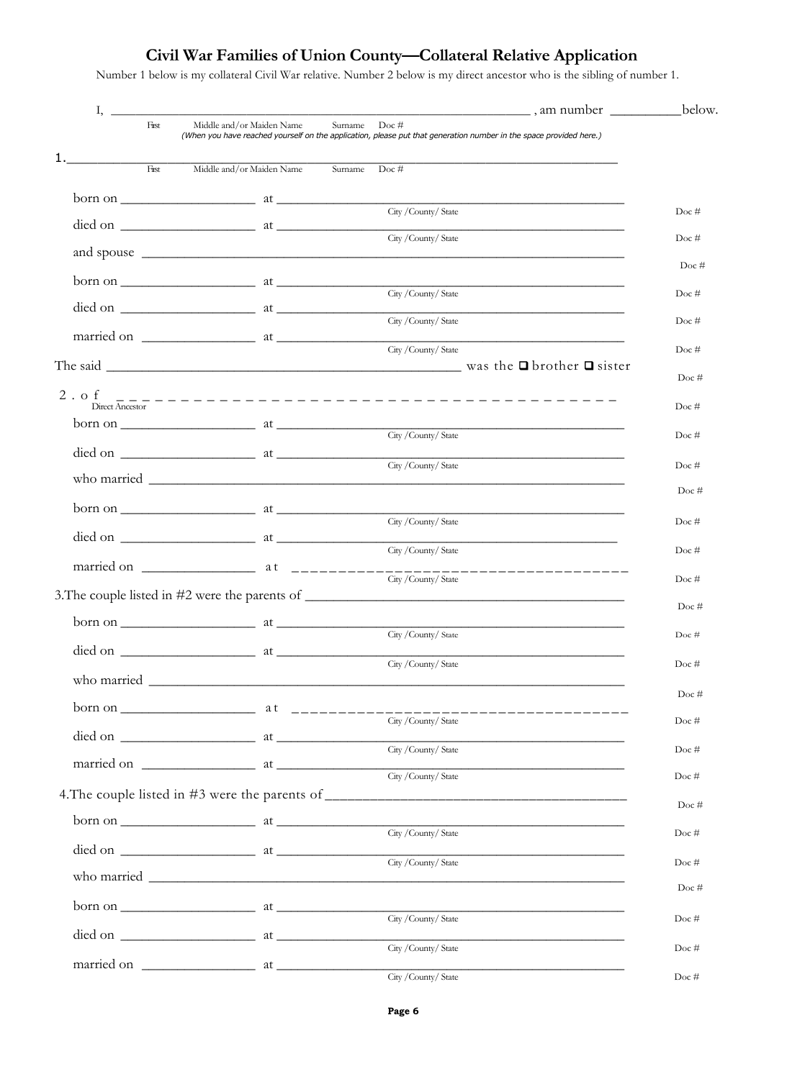## **Civil War Families of Union County—Collateral Relative Application**

Number 1 below is my collateral Civil War relative. Number 2 below is my direct ancestor who is the sibling of number 1.

| $I, \underline{\hspace{2cm}}$ |                                                                                                                                                                                                                                                                                                                                                                                                              |                                                                                                                                       | example manumber below. |
|-------------------------------|--------------------------------------------------------------------------------------------------------------------------------------------------------------------------------------------------------------------------------------------------------------------------------------------------------------------------------------------------------------------------------------------------------------|---------------------------------------------------------------------------------------------------------------------------------------|-------------------------|
| First                         | Middle and/or Maiden Name                                                                                                                                                                                                                                                                                                                                                                                    | Surname<br>Doc#<br>(When you have reached yourself on the application, please put that generation number in the space provided here.) |                         |
| 1.<br><b>First</b>            | Middle and/or Maiden Name Surname Doc #                                                                                                                                                                                                                                                                                                                                                                      |                                                                                                                                       |                         |
|                               | $born on$ $at$                                                                                                                                                                                                                                                                                                                                                                                               |                                                                                                                                       |                         |
|                               |                                                                                                                                                                                                                                                                                                                                                                                                              | City / County/ State                                                                                                                  | Doc#                    |
|                               |                                                                                                                                                                                                                                                                                                                                                                                                              | City / County/ State                                                                                                                  | Doc#                    |
|                               |                                                                                                                                                                                                                                                                                                                                                                                                              |                                                                                                                                       | Doc#                    |
|                               | born on $\frac{1}{\sqrt{1-\frac{1}{2}}\sqrt{1-\frac{1}{2}}\sqrt{1-\frac{1}{2}}\sqrt{1-\frac{1}{2}}\sqrt{1-\frac{1}{2}}\sqrt{1-\frac{1}{2}}\sqrt{1-\frac{1}{2}}\sqrt{1-\frac{1}{2}}\sqrt{1-\frac{1}{2}}\sqrt{1-\frac{1}{2}}\sqrt{1-\frac{1}{2}}\sqrt{1-\frac{1}{2}}\sqrt{1-\frac{1}{2}}\sqrt{1-\frac{1}{2}}\sqrt{1-\frac{1}{2}}\sqrt{1-\frac{1}{2}}\sqrt{1-\frac{1}{2}}\sqrt{1-\frac{1}{2}}\sqrt{1-\frac{1}{$ | City / County/ State                                                                                                                  | Doc#                    |
|                               | $\det$ on $\frac{1}{\det}$ at $\frac{1}{\det}$                                                                                                                                                                                                                                                                                                                                                               | City / County/ State                                                                                                                  | Doc#                    |
|                               |                                                                                                                                                                                                                                                                                                                                                                                                              | City / County/ State                                                                                                                  | Doc#                    |
|                               |                                                                                                                                                                                                                                                                                                                                                                                                              | The said $\Box$ was the $\Box$ brother $\Box$ sister                                                                                  | $Doc \#$                |
| $2.$ of<br>Direct Ancestor    |                                                                                                                                                                                                                                                                                                                                                                                                              |                                                                                                                                       | Doc#                    |
|                               |                                                                                                                                                                                                                                                                                                                                                                                                              |                                                                                                                                       |                         |
|                               |                                                                                                                                                                                                                                                                                                                                                                                                              |                                                                                                                                       | Doc#                    |
|                               |                                                                                                                                                                                                                                                                                                                                                                                                              |                                                                                                                                       | Doc#                    |
|                               |                                                                                                                                                                                                                                                                                                                                                                                                              |                                                                                                                                       | Doc#                    |
|                               | $\frac{1}{2}$ born on $\frac{1}{2}$ at $\frac{1}{2}$                                                                                                                                                                                                                                                                                                                                                         | City / County/ State                                                                                                                  | Doc#                    |
|                               | $\det$ on $\frac{1}{\det}$ on $\frac{1}{\det}$ at $\frac{1}{\det}$                                                                                                                                                                                                                                                                                                                                           | City / County/ State                                                                                                                  | Doc#                    |
|                               |                                                                                                                                                                                                                                                                                                                                                                                                              | --------------------------<br>City / County/ State                                                                                    | Doc#                    |
|                               |                                                                                                                                                                                                                                                                                                                                                                                                              | 3. The couple listed in #2 were the parents of __________________________________                                                     | $Doc \#$                |
|                               | born on $\frac{1}{\sqrt{1-\frac{1}{2}}}\$ at $\frac{1}{\sqrt{1-\frac{1}{2}}}\$                                                                                                                                                                                                                                                                                                                               | City / County/ State                                                                                                                  |                         |
|                               | died on a later at a later and the city/County/State                                                                                                                                                                                                                                                                                                                                                         |                                                                                                                                       | Doc $#$                 |
|                               |                                                                                                                                                                                                                                                                                                                                                                                                              |                                                                                                                                       | Doc#                    |
|                               |                                                                                                                                                                                                                                                                                                                                                                                                              |                                                                                                                                       | Doc#                    |
|                               |                                                                                                                                                                                                                                                                                                                                                                                                              |                                                                                                                                       | Doc $#$                 |
|                               |                                                                                                                                                                                                                                                                                                                                                                                                              |                                                                                                                                       | Doc $#$                 |
|                               |                                                                                                                                                                                                                                                                                                                                                                                                              | City / County/ State                                                                                                                  | Doc#                    |
|                               |                                                                                                                                                                                                                                                                                                                                                                                                              | 4. The couple listed in #3 were the parents of __________________________________                                                     | Doc#                    |
|                               | $born on _______ at _______$                                                                                                                                                                                                                                                                                                                                                                                 | City / County/ State                                                                                                                  | Doc#                    |
|                               |                                                                                                                                                                                                                                                                                                                                                                                                              |                                                                                                                                       |                         |
|                               |                                                                                                                                                                                                                                                                                                                                                                                                              |                                                                                                                                       | Doc#                    |
|                               |                                                                                                                                                                                                                                                                                                                                                                                                              |                                                                                                                                       | Doc#                    |
|                               |                                                                                                                                                                                                                                                                                                                                                                                                              |                                                                                                                                       | Doc#                    |
|                               |                                                                                                                                                                                                                                                                                                                                                                                                              | City / County/ State                                                                                                                  | Doc#                    |
|                               |                                                                                                                                                                                                                                                                                                                                                                                                              | City / County/ State                                                                                                                  | Doc#                    |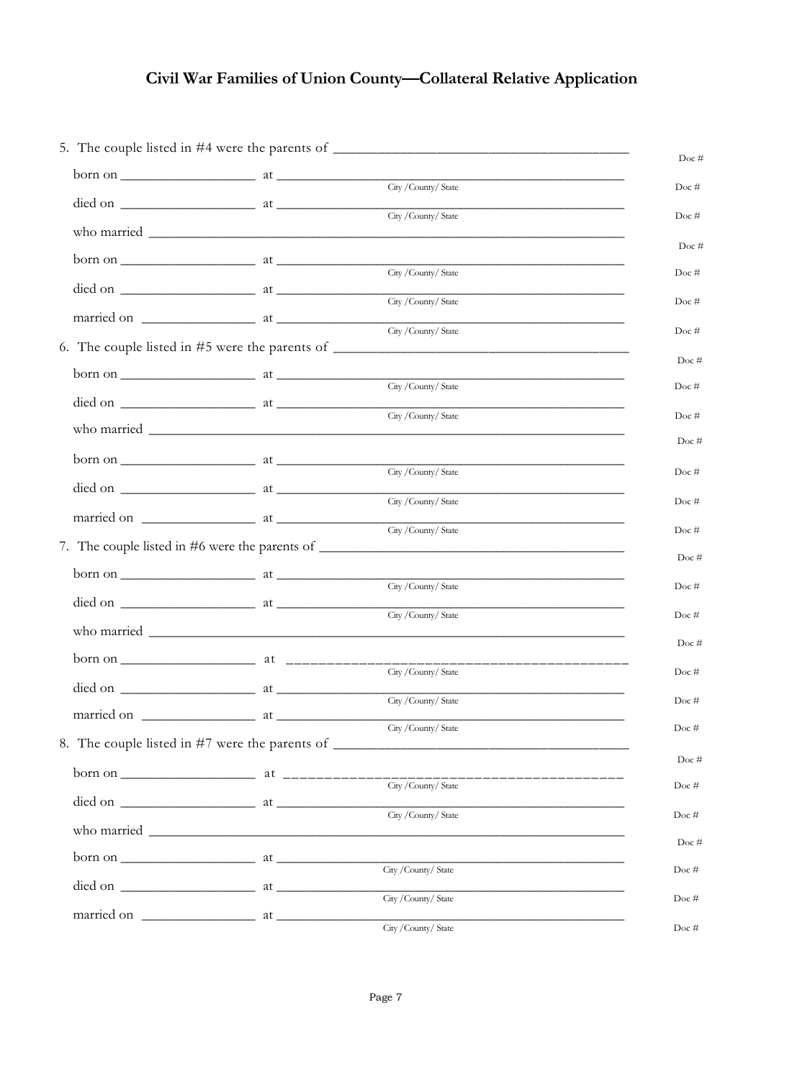## **Civil War Families of Union County—Collateral Relative Application**

|              | $born on _______ at _______$                                                                                                                                                                                                                                                                                                                                                                                 |                                                                                                                                                                                                                                                                                                                                                       | Doc#     |
|--------------|--------------------------------------------------------------------------------------------------------------------------------------------------------------------------------------------------------------------------------------------------------------------------------------------------------------------------------------------------------------------------------------------------------------|-------------------------------------------------------------------------------------------------------------------------------------------------------------------------------------------------------------------------------------------------------------------------------------------------------------------------------------------------------|----------|
|              |                                                                                                                                                                                                                                                                                                                                                                                                              | City / County/ State                                                                                                                                                                                                                                                                                                                                  | Doc#     |
|              |                                                                                                                                                                                                                                                                                                                                                                                                              |                                                                                                                                                                                                                                                                                                                                                       | Doc#     |
|              |                                                                                                                                                                                                                                                                                                                                                                                                              |                                                                                                                                                                                                                                                                                                                                                       | Doc $#$  |
|              | $born on$ $at$                                                                                                                                                                                                                                                                                                                                                                                               | City / County/ State                                                                                                                                                                                                                                                                                                                                  | Doc#     |
|              |                                                                                                                                                                                                                                                                                                                                                                                                              | City / County/ State                                                                                                                                                                                                                                                                                                                                  | Doc#     |
|              |                                                                                                                                                                                                                                                                                                                                                                                                              | City / County/ State                                                                                                                                                                                                                                                                                                                                  | Doc#     |
|              |                                                                                                                                                                                                                                                                                                                                                                                                              |                                                                                                                                                                                                                                                                                                                                                       |          |
|              |                                                                                                                                                                                                                                                                                                                                                                                                              |                                                                                                                                                                                                                                                                                                                                                       | $Doc \#$ |
|              |                                                                                                                                                                                                                                                                                                                                                                                                              | City / County/ State                                                                                                                                                                                                                                                                                                                                  | Doc#     |
|              |                                                                                                                                                                                                                                                                                                                                                                                                              | City / County/ State                                                                                                                                                                                                                                                                                                                                  | Doc#     |
|              |                                                                                                                                                                                                                                                                                                                                                                                                              |                                                                                                                                                                                                                                                                                                                                                       | Doc#     |
|              |                                                                                                                                                                                                                                                                                                                                                                                                              | City / County/ State                                                                                                                                                                                                                                                                                                                                  | Doc#     |
|              |                                                                                                                                                                                                                                                                                                                                                                                                              | City / County/ State                                                                                                                                                                                                                                                                                                                                  | Doc#     |
|              |                                                                                                                                                                                                                                                                                                                                                                                                              | City / County/ State                                                                                                                                                                                                                                                                                                                                  | Doc#     |
|              |                                                                                                                                                                                                                                                                                                                                                                                                              | 7. The couple listed in #6 were the parents of __________________________________                                                                                                                                                                                                                                                                     |          |
|              | $born on _______ at _______$                                                                                                                                                                                                                                                                                                                                                                                 |                                                                                                                                                                                                                                                                                                                                                       | Doc#     |
|              |                                                                                                                                                                                                                                                                                                                                                                                                              | City / County/ State<br>$\det$ on $\frac{1}{\det}$ at $\frac{1}{\det}$ at $\frac{1}{\det}$ at $\frac{1}{\det}$ at $\frac{1}{\det}$ at $\frac{1}{\det}$ at $\frac{1}{\det}$ at $\frac{1}{\det}$ at $\frac{1}{\det}$ at $\frac{1}{\det}$ at $\frac{1}{\det}$ at $\frac{1}{\det}$ at $\frac{1}{\det}$ at $\frac{1}{\det}$ at $\frac{1}{\det}$ at $\frac$ | $Doc \#$ |
|              |                                                                                                                                                                                                                                                                                                                                                                                                              | City / County/ State                                                                                                                                                                                                                                                                                                                                  | Doc#     |
|              |                                                                                                                                                                                                                                                                                                                                                                                                              |                                                                                                                                                                                                                                                                                                                                                       | $Doc \#$ |
|              |                                                                                                                                                                                                                                                                                                                                                                                                              | City / County/ State                                                                                                                                                                                                                                                                                                                                  | Doc#     |
|              | died on $\frac{1}{\sqrt{1-\frac{1}{2}}\sqrt{1-\frac{1}{2}}\sqrt{1-\frac{1}{2}}\sqrt{1-\frac{1}{2}}\sqrt{1-\frac{1}{2}}\sqrt{1-\frac{1}{2}}\sqrt{1-\frac{1}{2}}\sqrt{1-\frac{1}{2}}\sqrt{1-\frac{1}{2}}\sqrt{1-\frac{1}{2}}\sqrt{1-\frac{1}{2}}\sqrt{1-\frac{1}{2}}\sqrt{1-\frac{1}{2}}\sqrt{1-\frac{1}{2}}\sqrt{1-\frac{1}{2}}\sqrt{1-\frac{1}{2}}\sqrt{1-\frac{1}{2}}\sqrt{1-\frac{1}{2}}\sqrt{1-\frac{1}{$ | City / County/ State                                                                                                                                                                                                                                                                                                                                  | Doc#     |
| married on _ | $\frac{1}{\sqrt{1-\frac{1}{2}}}$ at                                                                                                                                                                                                                                                                                                                                                                          | City / County/ State                                                                                                                                                                                                                                                                                                                                  | Doc#     |
|              |                                                                                                                                                                                                                                                                                                                                                                                                              | 8. The couple listed in #7 were the parents of __________________________________                                                                                                                                                                                                                                                                     |          |
|              |                                                                                                                                                                                                                                                                                                                                                                                                              |                                                                                                                                                                                                                                                                                                                                                       | $Doc \#$ |
|              |                                                                                                                                                                                                                                                                                                                                                                                                              |                                                                                                                                                                                                                                                                                                                                                       | Doc#     |
|              |                                                                                                                                                                                                                                                                                                                                                                                                              | City / County/ State                                                                                                                                                                                                                                                                                                                                  | Doc#     |
|              |                                                                                                                                                                                                                                                                                                                                                                                                              |                                                                                                                                                                                                                                                                                                                                                       | Doc#     |
|              | $\frac{1}{\text{Otry}/\text{Country}/\text{State}}$                                                                                                                                                                                                                                                                                                                                                          |                                                                                                                                                                                                                                                                                                                                                       | Doc#     |
|              | died on $\frac{1}{\sqrt{1-\frac{1}{2}}\sqrt{1-\frac{1}{2}}\sqrt{1-\frac{1}{2}}\sqrt{1-\frac{1}{2}}\sqrt{1-\frac{1}{2}}\sqrt{1-\frac{1}{2}}\sqrt{1-\frac{1}{2}}\sqrt{1-\frac{1}{2}}\sqrt{1-\frac{1}{2}}\sqrt{1-\frac{1}{2}}\sqrt{1-\frac{1}{2}}\sqrt{1-\frac{1}{2}}\sqrt{1-\frac{1}{2}}\sqrt{1-\frac{1}{2}}\sqrt{1-\frac{1}{2}}\sqrt{1-\frac{1}{2}}\sqrt{1-\frac{1}{2}}\sqrt{1-\frac{1}{2}}\sqrt{1-\frac{1}{$ | City / County/ State                                                                                                                                                                                                                                                                                                                                  | Doc $\#$ |
|              |                                                                                                                                                                                                                                                                                                                                                                                                              |                                                                                                                                                                                                                                                                                                                                                       |          |
|              |                                                                                                                                                                                                                                                                                                                                                                                                              | City / County/ State                                                                                                                                                                                                                                                                                                                                  | Doc#     |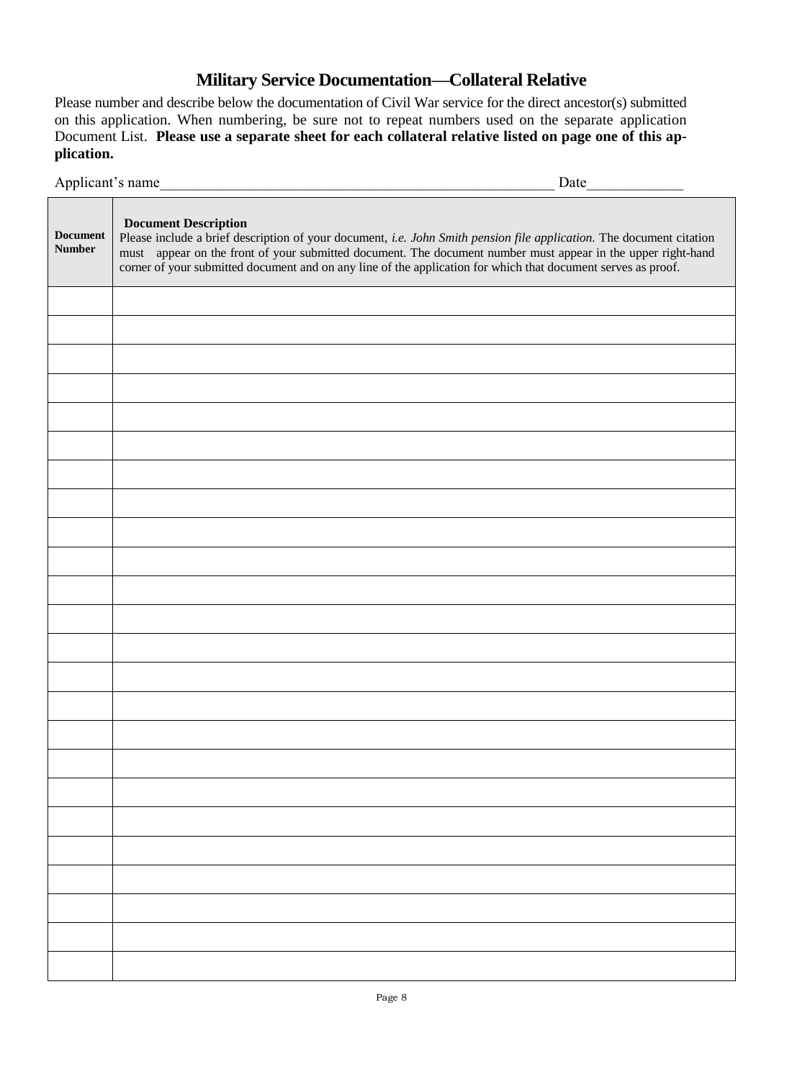## **Military Service Documentation—Collateral Relative**

Please number and describe below the documentation of Civil War service for the direct ancestor(s) submitted on this application. When numbering, be sure not to repeat numbers used on the separate application Document List. **Please use a separate sheet for each collateral relative listed on page one of this application.**

|                                  | Applicant's name<br>$\frac{\text{Date}}{\text{Date}}$                                                                                                                                                                                                                                                                                                                                |
|----------------------------------|--------------------------------------------------------------------------------------------------------------------------------------------------------------------------------------------------------------------------------------------------------------------------------------------------------------------------------------------------------------------------------------|
| <b>Document</b><br><b>Number</b> | <b>Document Description</b><br>Please include a brief description of your document, i.e. John Smith pension file application. The document citation<br>must appear on the front of your submitted document. The document number must appear in the upper right-hand<br>corner of your submitted document and on any line of the application for which that document serves as proof. |
|                                  |                                                                                                                                                                                                                                                                                                                                                                                      |
|                                  |                                                                                                                                                                                                                                                                                                                                                                                      |
|                                  |                                                                                                                                                                                                                                                                                                                                                                                      |
|                                  |                                                                                                                                                                                                                                                                                                                                                                                      |
|                                  |                                                                                                                                                                                                                                                                                                                                                                                      |
|                                  |                                                                                                                                                                                                                                                                                                                                                                                      |
|                                  |                                                                                                                                                                                                                                                                                                                                                                                      |
|                                  |                                                                                                                                                                                                                                                                                                                                                                                      |
|                                  |                                                                                                                                                                                                                                                                                                                                                                                      |
|                                  |                                                                                                                                                                                                                                                                                                                                                                                      |
|                                  |                                                                                                                                                                                                                                                                                                                                                                                      |
|                                  |                                                                                                                                                                                                                                                                                                                                                                                      |
|                                  |                                                                                                                                                                                                                                                                                                                                                                                      |
|                                  |                                                                                                                                                                                                                                                                                                                                                                                      |
|                                  |                                                                                                                                                                                                                                                                                                                                                                                      |
|                                  |                                                                                                                                                                                                                                                                                                                                                                                      |
|                                  |                                                                                                                                                                                                                                                                                                                                                                                      |
|                                  |                                                                                                                                                                                                                                                                                                                                                                                      |
|                                  |                                                                                                                                                                                                                                                                                                                                                                                      |
|                                  |                                                                                                                                                                                                                                                                                                                                                                                      |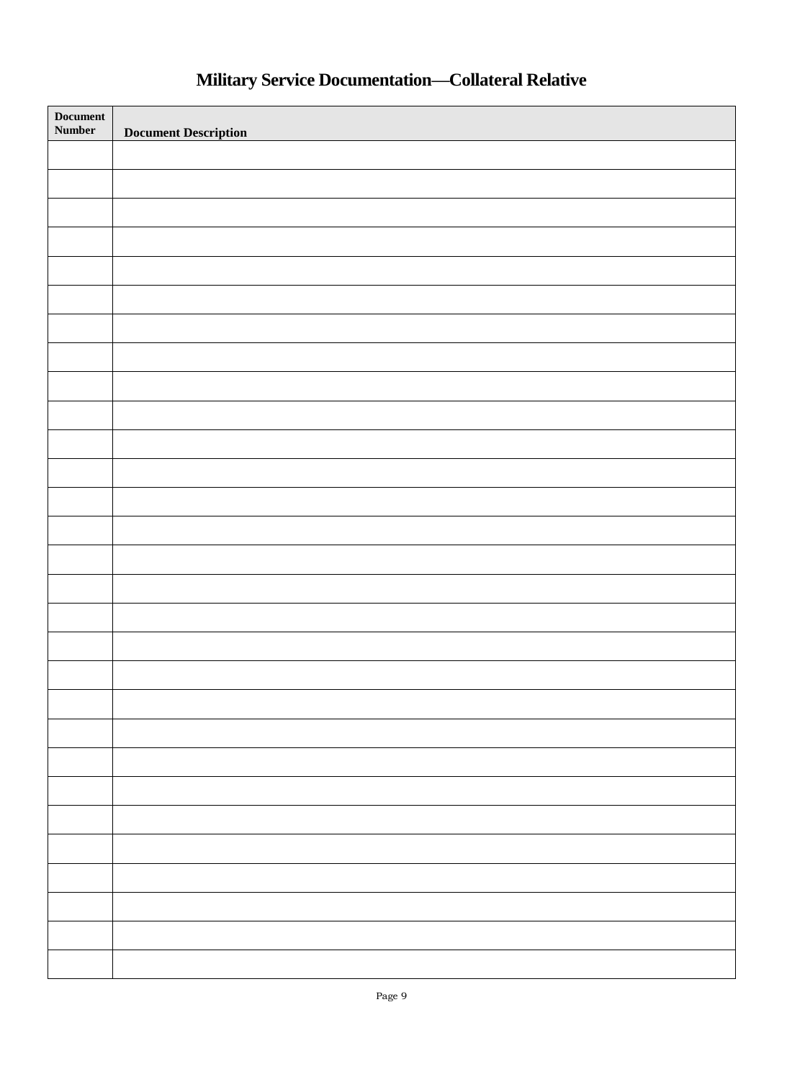# **Military Service Documentation—Collateral Relative**

| <b>Document</b><br>Number | <b>Document Description</b> |
|---------------------------|-----------------------------|
|                           |                             |
|                           |                             |
|                           |                             |
|                           |                             |
|                           |                             |
|                           |                             |
|                           |                             |
|                           |                             |
|                           |                             |
|                           |                             |
|                           |                             |
|                           |                             |
|                           |                             |
|                           |                             |
|                           |                             |
|                           |                             |
|                           |                             |
|                           |                             |
|                           |                             |
|                           |                             |
|                           |                             |
|                           |                             |
|                           |                             |
|                           |                             |
|                           |                             |
|                           |                             |
|                           |                             |
|                           |                             |
|                           |                             |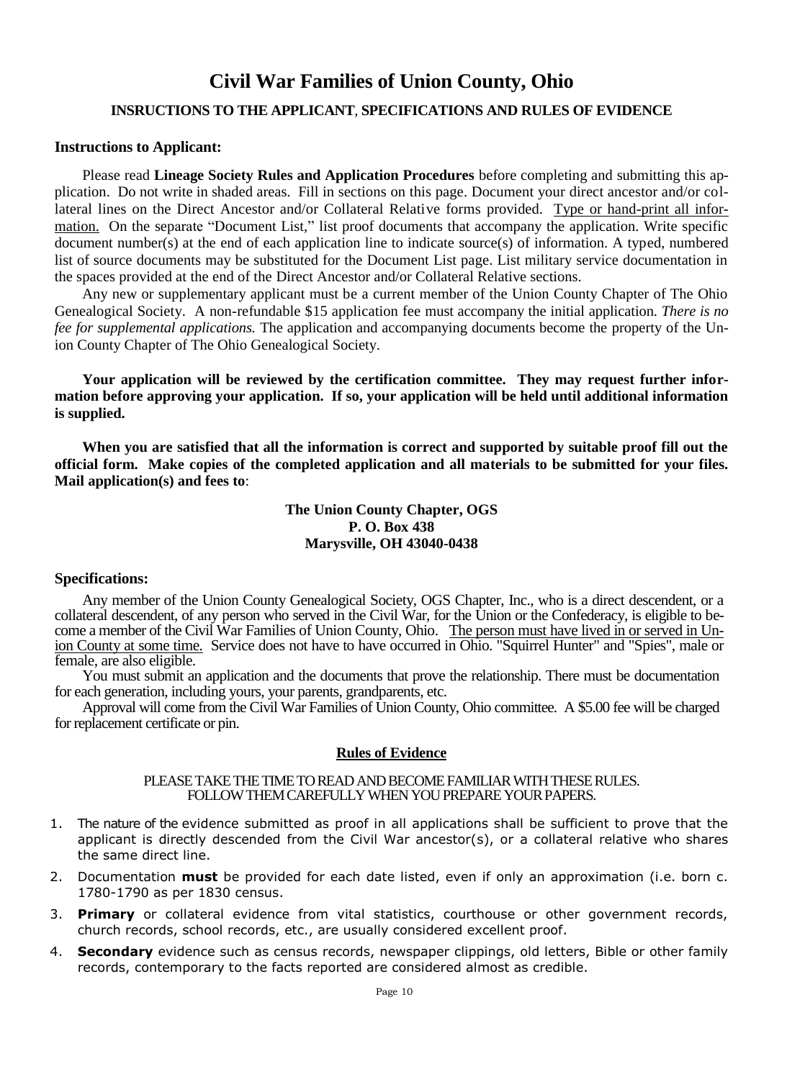## **Civil War Families of Union County, Ohio**

### **INSRUCTIONS TO THE APPLICANT**, **SPECIFICATIONS AND RULES OF EVIDENCE**

### **Instructions to Applicant:**

Please read **Lineage Society Rules and Application Procedures** before completing and submitting this application. Do not write in shaded areas. Fill in sections on this page. Document your direct ancestor and/or collateral lines on the Direct Ancestor and/or Collateral Relative forms provided. Type or hand-print all information. On the separate "Document List," list proof documents that accompany the application. Write specific document number(s) at the end of each application line to indicate source(s) of information. A typed, numbered list of source documents may be substituted for the Document List page. List military service documentation in the spaces provided at the end of the Direct Ancestor and/or Collateral Relative sections.

Any new or supplementary applicant must be a current member of the Union County Chapter of The Ohio Genealogical Society. A non-refundable \$15 application fee must accompany the initial application. *There is no fee for supplemental applications.* The application and accompanying documents become the property of the Union County Chapter of The Ohio Genealogical Society.

**Your application will be reviewed by the certification committee. They may request further information before approving your application. If so, your application will be held until additional information is supplied.**

**When you are satisfied that all the information is correct and supported by suitable proof fill out the official form. Make copies of the completed application and all materials to be submitted for your files. Mail application(s) and fees to**:

### **The Union County Chapter, OGS P. O. Box 438 Marysville, OH 43040-0438**

### **Specifications:**

Any member of the Union County Genealogical Society, OGS Chapter, Inc., who is a direct descendent, or a collateral descendent, of any person who served in the Civil War, for the Union or the Confederacy, is eligible to become a member of the Civil War Families of Union County, Ohio. The person must have lived in or served in Union County at some time. Service does not have to have occurred in Ohio. "Squirrel Hunter" and "Spies", male or female, are also eligible.

You must submit an application and the documents that prove the relationship. There must be documentation for each generation, including yours, your parents, grandparents, etc.

Approval will come from the Civil War Families of Union County, Ohio committee. A \$5.00 fee will be charged for replacement certificate or pin.

### **Rules of Evidence**

#### PLEASE TAKE THE TIME TO READ AND BECOME FAMILIAR WITH THESE RULES. FOLLOW THEM CAREFULLY WHEN YOU PREPARE YOUR PAPERS.

- 1. The nature of the evidence submitted as proof in all applications shall be sufficient to prove that the applicant is directly descended from the Civil War ancestor(s), or a collateral relative who shares the same direct line.
- 2. Documentation **must** be provided for each date listed, even if only an approximation (i.e. born c. 1780-1790 as per 1830 census.
- 3. **Primary** or collateral evidence from vital statistics, courthouse or other government records, church records, school records, etc., are usually considered excellent proof.
- 4. **Secondary** evidence such as census records, newspaper clippings, old letters, Bible or other family records, contemporary to the facts reported are considered almost as credible.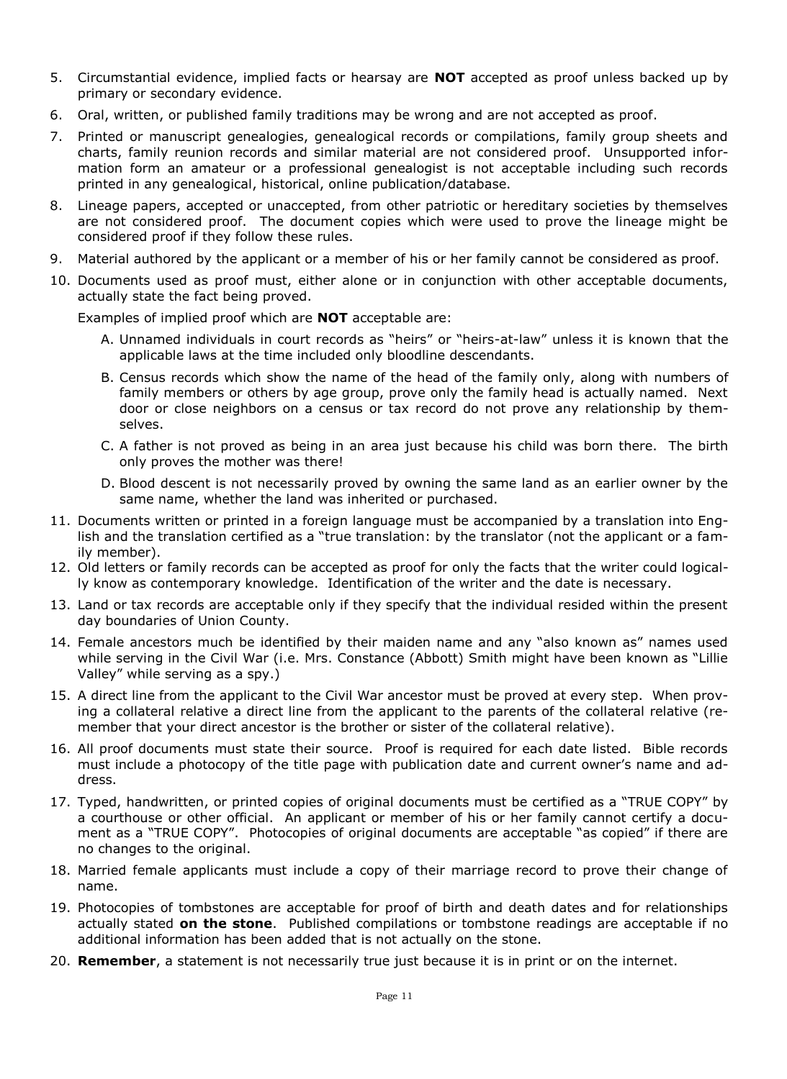- 5. Circumstantial evidence, implied facts or hearsay are **NOT** accepted as proof unless backed up by primary or secondary evidence.
- 6. Oral, written, or published family traditions may be wrong and are not accepted as proof.
- 7. Printed or manuscript genealogies, genealogical records or compilations, family group sheets and charts, family reunion records and similar material are not considered proof. Unsupported information form an amateur or a professional genealogist is not acceptable including such records printed in any genealogical, historical, online publication/database.
- 8. Lineage papers, accepted or unaccepted, from other patriotic or hereditary societies by themselves are not considered proof. The document copies which were used to prove the lineage might be considered proof if they follow these rules.
- 9. Material authored by the applicant or a member of his or her family cannot be considered as proof.
- 10. Documents used as proof must, either alone or in conjunction with other acceptable documents, actually state the fact being proved.

Examples of implied proof which are **NOT** acceptable are:

- A. Unnamed individuals in court records as "heirs" or "heirs-at-law" unless it is known that the applicable laws at the time included only bloodline descendants.
- B. Census records which show the name of the head of the family only, along with numbers of family members or others by age group, prove only the family head is actually named. Next door or close neighbors on a census or tax record do not prove any relationship by themselves.
- C. A father is not proved as being in an area just because his child was born there. The birth only proves the mother was there!
- D. Blood descent is not necessarily proved by owning the same land as an earlier owner by the same name, whether the land was inherited or purchased.
- 11. Documents written or printed in a foreign language must be accompanied by a translation into English and the translation certified as a "true translation: by the translator (not the applicant or a family member).
- 12. Old letters or family records can be accepted as proof for only the facts that the writer could logically know as contemporary knowledge. Identification of the writer and the date is necessary.
- 13. Land or tax records are acceptable only if they specify that the individual resided within the present day boundaries of Union County.
- 14. Female ancestors much be identified by their maiden name and any "also known as" names used while serving in the Civil War (i.e. Mrs. Constance (Abbott) Smith might have been known as "Lillie Valley" while serving as a spy.)
- 15. A direct line from the applicant to the Civil War ancestor must be proved at every step. When proving a collateral relative a direct line from the applicant to the parents of the collateral relative (remember that your direct ancestor is the brother or sister of the collateral relative).
- 16. All proof documents must state their source. Proof is required for each date listed. Bible records must include a photocopy of the title page with publication date and current owner's name and address.
- 17. Typed, handwritten, or printed copies of original documents must be certified as a "TRUE COPY" by a courthouse or other official. An applicant or member of his or her family cannot certify a document as a "TRUE COPY". Photocopies of original documents are acceptable "as copied" if there are no changes to the original.
- 18. Married female applicants must include a copy of their marriage record to prove their change of name.
- 19. Photocopies of tombstones are acceptable for proof of birth and death dates and for relationships actually stated **on the stone**. Published compilations or tombstone readings are acceptable if no additional information has been added that is not actually on the stone.
- 20. **Remember**, a statement is not necessarily true just because it is in print or on the internet.